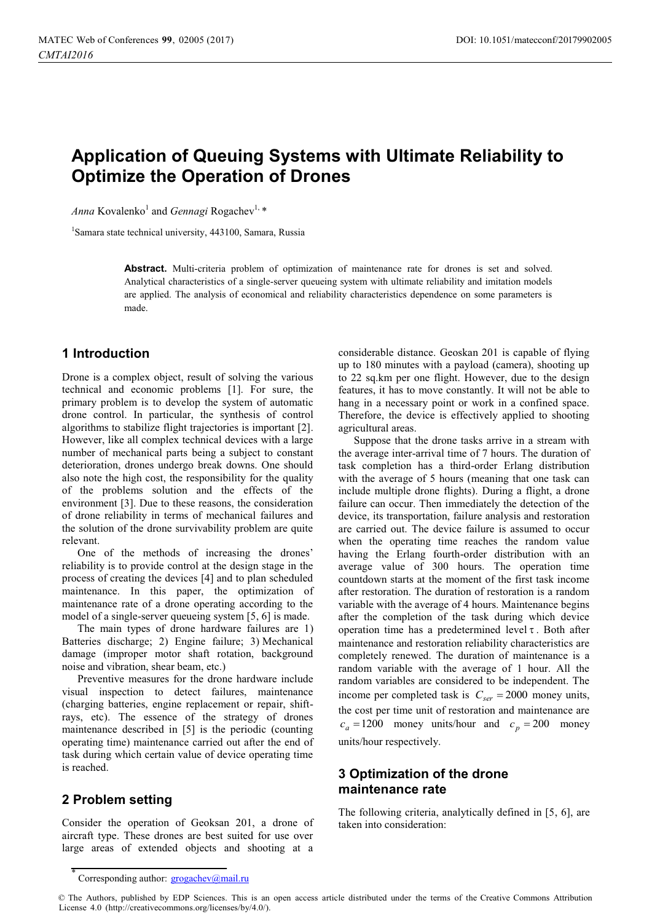# **Application of Queuing Systems with Ultimate Reliability to Optimize the Operation of Drones**

Anna Kovalenko<sup>1</sup> and *Gennagi* Rogachev<sup>1,</sup> \*

1 Samara state technical university, 443100, Samara, Russia

**Abstract.** Multi-criteria problem of optimization of maintenance rate for drones is set and solved. Analytical characteristics of a single-server queueing system with ultimate reliability and imitation models are applied. The analysis of economical and reliability characteristics dependence on some parameters is made.

## **1 Introduction**

Drone is a complex object, result of solving the various technical and economic problems [1]. For sure, the primary problem is to develop the system of automatic drone control. In particular, the synthesis of control algorithms to stabilize flight trajectories is important [2]. However, like all complex technical devices with a large number of mechanical parts being a subject to constant deterioration, drones undergo break downs. One should also note the high cost, the responsibility for the quality of the problems solution and the effects of the environment [3]. Due to these reasons, the consideration of drone reliability in terms of mechanical failures and the solution of the drone survivability problem are quite relevant.

One of the methods of increasing the drones' reliability is to provide control at the design stage in the process of creating the devices [4] and to plan scheduled maintenance. In this paper, the optimization of maintenance rate of a drone operating according to the model of a single-server queueing system [5, 6] is made.

The main types of drone hardware failures are 1) Batteries discharge; 2) Engine failure; 3) Mechanical damage (improper motor shaft rotation, background noise and vibration, shear beam, etc.)

Preventive measures for the drone hardware include visual inspection to detect failures, maintenance (charging batteries, engine replacement or repair, shiftrays, etc). The essence of the strategy of drones maintenance described in [5] is the periodic (counting operating time) maintenance carried out after the end of task during which certain value of device operating time is reached.

## **2 Problem setting**

Consider the operation of Geoksan 201, a drone of aircraft type. These drones are best suited for use over large areas of extended objects and shooting at a

considerable distance. Geoskan 201 is capable of flying up to 180 minutes with a payload (camera), shooting up to 22 sq.km per one flight. However, due to the design features, it has to move constantly. It will not be able to hang in a necessary point or work in a confined space. Therefore, the device is effectively applied to shooting agricultural areas.

Suppose that the drone tasks arrive in a stream with the average inter-arrival time of 7 hours. The duration of task completion has a third-order Erlang distribution with the average of 5 hours (meaning that one task can include multiple drone flights). During a flight, a drone failure can occur. Then immediately the detection of the device, its transportation, failure analysis and restoration are carried out. The device failure is assumed to occur when the operating time reaches the random value having the Erlang fourth-order distribution with an average value of 300 hours. The operation time countdown starts at the moment of the first task income after restoration. The duration of restoration is a random variable with the average of 4 hours. Maintenance begins after the completion of the task during which device operation time has a predetermined level  $\tau$ . Both after maintenance and restoration reliability characteristics are completely renewed. The duration of maintenance is a random variable with the average of 1 hour. All the random variables are considered to be independent. The income per completed task is  $C_{ser} = 2000$  money units, the cost per time unit of restoration and maintenance are  $c_a = 1200$  money units/hour and  $c_p = 200$  money units/hour respectively.

# **3 Optimization of the drone maintenance rate**

The following criteria, analytically defined in [5, 6], are taken into consideration:

<sup>\*</sup> Corresponding author: grogachev@mail.ru

<sup>©</sup> The Authors, published by EDP Sciences. This is an open access article distributed under the terms of the Creative Commons Attribution License 4.0 (http://creativecommons.org/licenses/by/4.0/).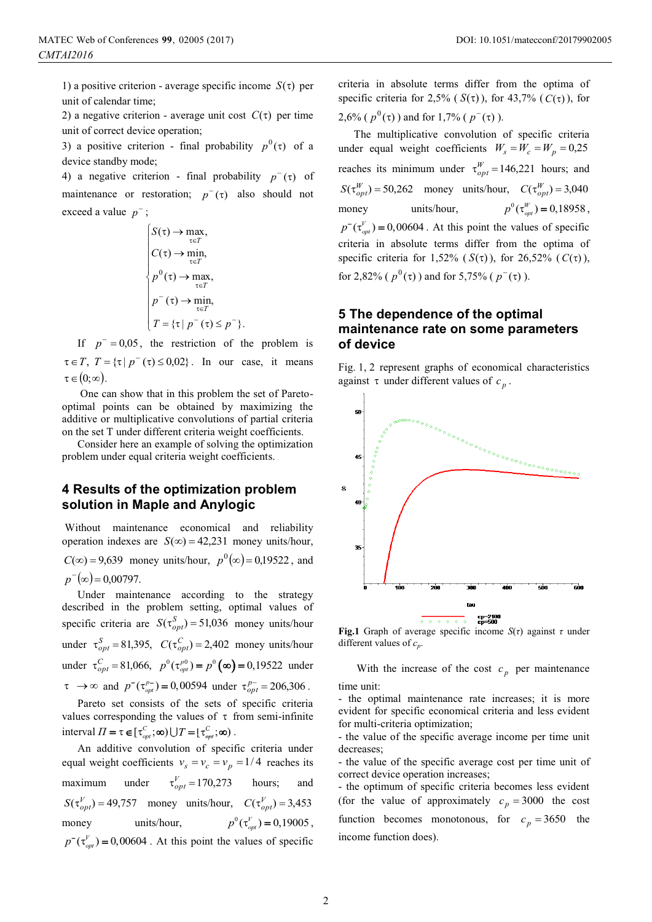1) a positive criterion - average specific income  $S(\tau)$  per unit of calendar time;

2) a negative criterion - average unit cost  $C(\tau)$  per time unit of correct device operation;

3) a positive criterion - final probability  $p^0(\tau)$  of a device standby mode;

4) a negative criterion - final probability  $p^-(\tau)$  of maintenance or restoration;  $p^-(\tau)$  also should not exceed a value  $p^-$ ;

$$
\begin{cases}\nS(\tau) \to \max_{\tau \in T}, \\
C(\tau) \to \min_{\tau \in T}, \\
p^0(\tau) \to \max_{\tau \in T}, \\
p^-(\tau) \to \min_{\tau \in T}, \\
T = \{\tau \mid p^-(\tau) \le p^-\}.\n\end{cases}
$$

If  $p = 0.05$ , the restriction of the problem is  $\tau \in T$ ,  $T = \{\tau \mid p^-(\tau) \le 0.02\}$ . In our case, it means  $\tau \in (0; \infty)$ .

 One can show that in this problem the set of Paretooptimal points can be obtained by maximizing the additive or multiplicative convolutions of partial criteria on the set T under different criteria weight coefficients.

Consider here an example of solving the optimization problem under equal criteria weight coefficients.

#### **4 Results of the optimization problem solution in Maple and Anylogic**

 Without maintenance economical and reliability operation indexes are  $S(\infty) = 42,231$  money units/hour,  $C(\infty) = 9{,}639$  money units/hour,  $p^{0}(\infty) = 0{,}19522$ , and  $p^{-}(\infty) = 0,00797.$ 

Under maintenance according to the strategy described in the problem setting, optimal values of specific criteria are  $S(\tau_{opt}^S) = 51,036$  money units/hour under  $\tau_{opt}^S = 81,395$ ,  $C(\tau_{opt}^C) = 2,402$  money units/hour under  $\tau_{opt}^C = 81,066$ ,  $p^0(\tau_{opt}^{p0}) = p^0(\infty) = 0,19522$  under  $\tau \to \infty$  and  $p^{-}(\tau_{opt}^{p^{-}}) = 0,00594$  under  $\tau_{opt}^{p^{-}} = 206,306$ .

Pareto set consists of the sets of specific criteria values corresponding the values of  $\tau$  from semi-infinite interval  $\Pi = \tau \in [\tau_{opt}^C; \infty) \cup T = [\tau_{opt}^C; \infty)$ .

An additive convolution of specific criteria under equal weight coefficients  $v_s = v_c = v_p = 1/4$  reaches its maximum under  $\tau_{opt}^V = 170,273$  hours; and  $S(\tau_{opt}^V) = 49{,}757$  money units/hour,  $C(\tau_{opt}^V) = 3{,}453$ money units/hour,  $p^{0}(\tau_{opt}^{V}) = 0,19005,$  $p^-(\tau_{opt}^V) = 0,00604$ . At this point the values of specific criteria in absolute terms differ from the optima of specific criteria for 2,5% ( $S(\tau)$ ), for 43,7% ( $C(\tau)$ ), for  $2,6\%$  ( $p^0(\tau)$ ) and for 1,7% ( $p^-(\tau)$ ).

The multiplicative convolution of specific criteria under equal weight coefficients  $W_s = W_c = W_p = 0.25$ reaches its minimum under  $\tau_{opt}^W = 146,221$  hours; and  $S(\tau_{opt}^{W}) = 50,262$  money units/hour,  $C(\tau_{opt}^{W}) = 3,040$ money units/hour,  $p^{0}(\tau_{opt}^{W}) = 0,18958,$  $p^-(\tau_{opt}^V) = 0,00604$ . At this point the values of specific criteria in absolute terms differ from the optima of specific criteria for 1,52% ( $S(\tau)$ ), for 26,52% ( $C(\tau)$ ), for 2,82% ( $p^0(\tau)$ ) and for 5,75% ( $p^-(\tau)$ ).

# **5 The dependence of the optimal maintenance rate on some parameters of device**

Fig. 1, 2 represent graphs of economical characteristics against  $\tau$  under different values of  $c_p$ .



**Fig.1** Graph of average specific income  $S(\tau)$  against  $\tau$  under different values of  $c_p$ .

With the increase of the cost  $c_p$  per maintenance time unit:

- the optimal maintenance rate increases; it is more evident for specific economical criteria and less evident for multi-criteria optimization;

- the value of the specific average income per time unit decreases;

- the value of the specific average cost per time unit of correct device operation increases;

- the optimum of specific criteria becomes less evident (for the value of approximately  $c_p = 3000$  the cost function becomes monotonous, for  $c_p = 3650$  the income function does).